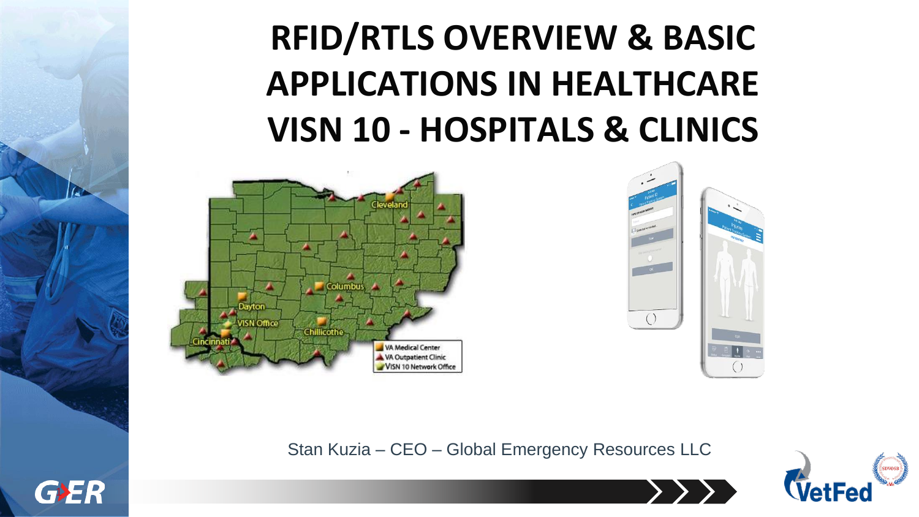# **RFID/RTLS OVERVIEW & BASIC APPLICATIONS IN HEALTHCARE VISN 10 - HOSPITALS & CLINICS**





Stan Kuzia – CEO – Global Emergency Resources LLC



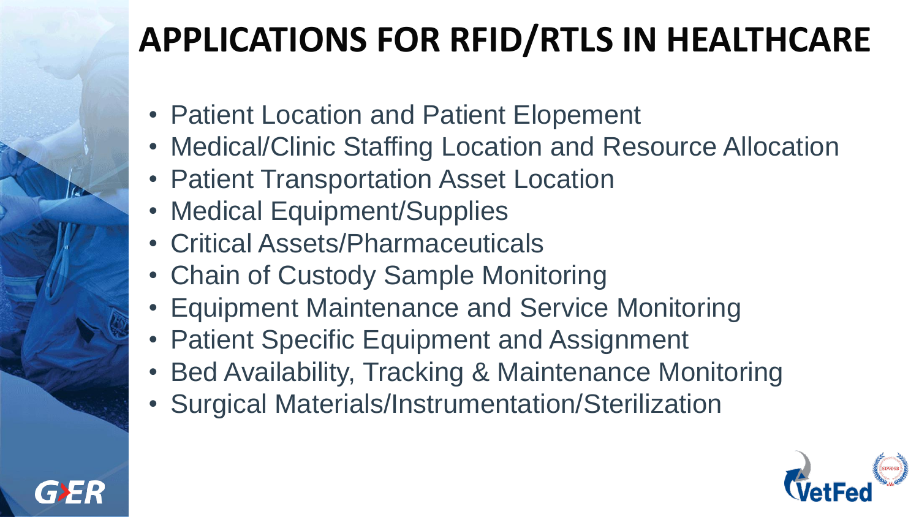## **APPLICATIONS FOR RFID/RTLS IN HEALTHCARE**

- Patient Location and Patient Elopement
- Medical/Clinic Staffing Location and Resource Allocation
- Patient Transportation Asset Location
- Medical Equipment/Supplies
- Critical Assets/Pharmaceuticals
- Chain of Custody Sample Monitoring
- Equipment Maintenance and Service Monitoring
- Patient Specific Equipment and Assignment
- Bed Availability, Tracking & Maintenance Monitoring
- Surgical Materials/Instrumentation/Sterilization

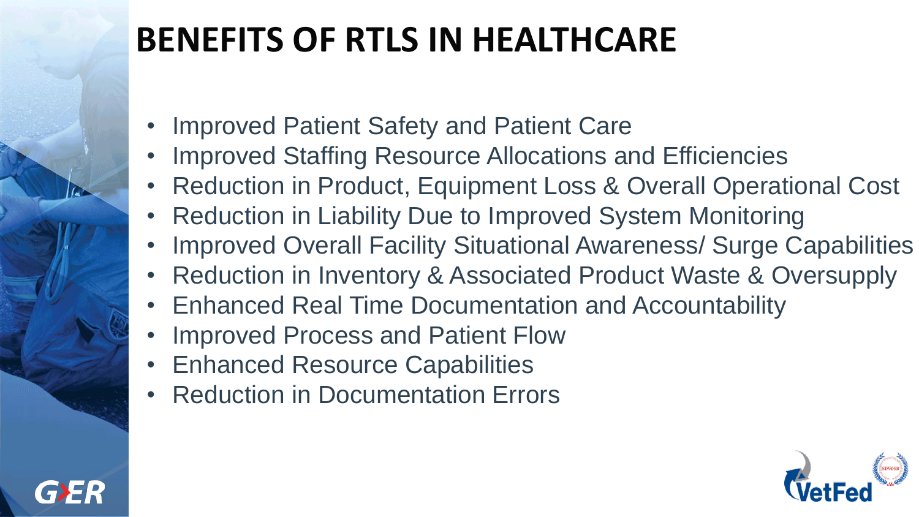## **BENEFITS OF RTLS IN HEALTHCARE**

- Improved Patient Safety and Patient Care
- Improved Staffing Resource Allocations and Efficiencies
- Reduction in Product, Equipment Loss & Overall Operational Cost
- Reduction in Liability Due to Improved System Monitoring
- Improved Overall Facility Situational Awareness/ Surge Capabilities
- Reduction in Inventory & Associated Product Waste & Oversupply
- Enhanced Real Time Documentation and Accountability
- Improved Process and Patient Flow
- Enhanced Resource Capabilities
- **Reduction in Documentation Errors**

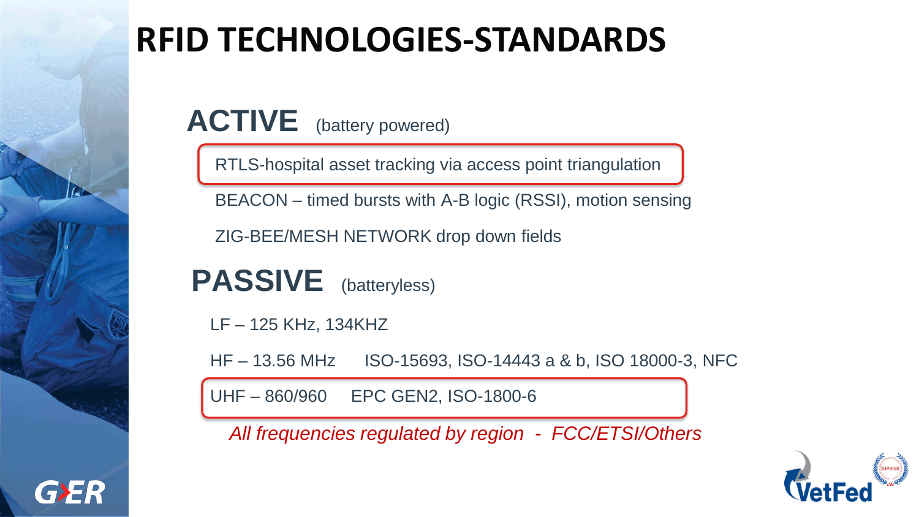### **RFID TECHNOLOGIES-STANDARDS**

ACTIVE (battery powered)

RTLS-hospital asset tracking via access point triangulation

BEACON – timed bursts with A-B logic (RSSI), motion sensing

ZIG-BEE/MESH NETWORK drop down fields

**PASSIVE** (batteryless)

LF – 125 KHz, 134KHZ

HF – 13.56 MHz ISO-15693, ISO-14443 a & b, ISO 18000-3, NFC

UHF – 860/960 EPC GEN2, ISO-1800-6

*All frequencies regulated by region - FCC/ETSI/Others*

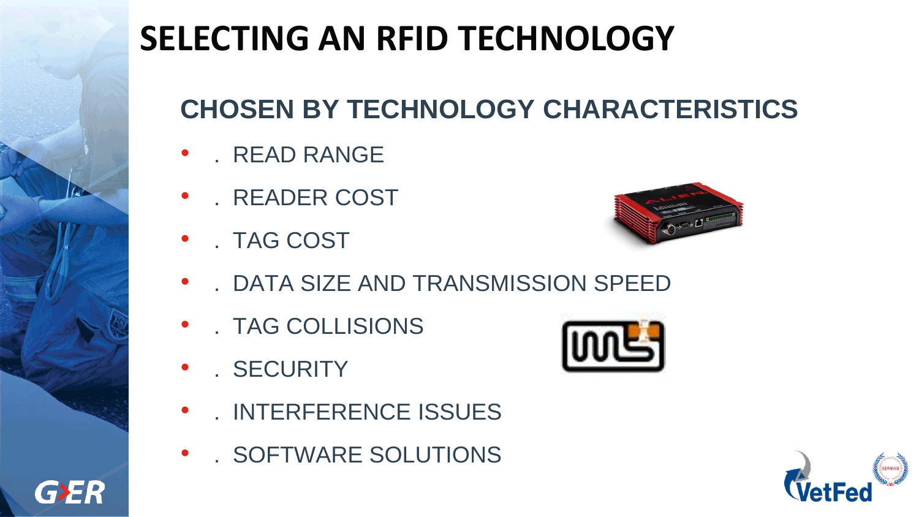## **SELECTING AN RFID TECHNOLOGY**

#### **CHOSEN BY TECHNOLOGY CHARACTERISTICS**

- . READ RANGE
- . READER COST
- . TAG COST



- . DATA SIZE AND TRANSMISSION SPEED
- . TAG COLLISIONS
- . SECURITY

GER

- . INTERFERENCE ISSUES
- . SOFTWARE SOLUTIONS



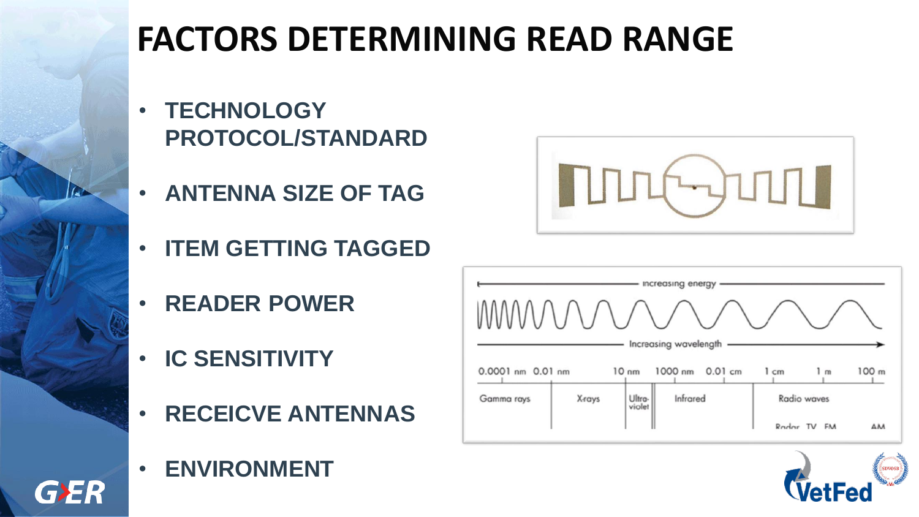## **FACTORS DETERMINING READ RANGE**

- **TECHNOLOGY PROTOCOL/STANDARD**
- **ANTENNA SIZE OF TAG**
- **ITEM GETTING TAGGED**
- **READER POWER**
- **IC SENSITIVITY**
- **RECEICVE ANTENNAS**
- **ENVIRONMENT**

GER





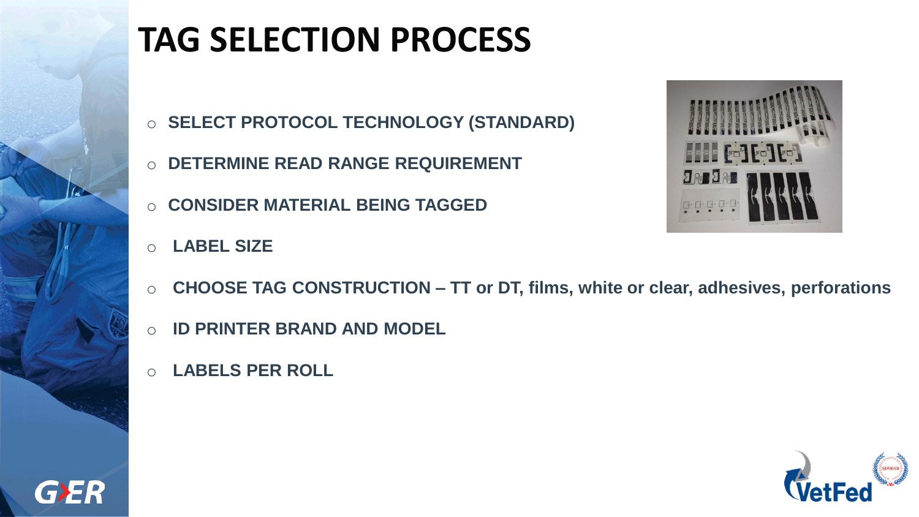

## **TAG SELECTION PROCESS**

- o **SELECT PROTOCOL TECHNOLOGY (STANDARD)**
- o **DETERMINE READ RANGE REQUIREMENT**
- o **CONSIDER MATERIAL BEING TAGGED**
- o **LABEL SIZE**



- o **CHOOSE TAG CONSTRUCTION – TT or DT, films, white or clear, adhesives, perforations**
- o **ID PRINTER BRAND AND MODEL**
- o **LABELS PER ROLL**